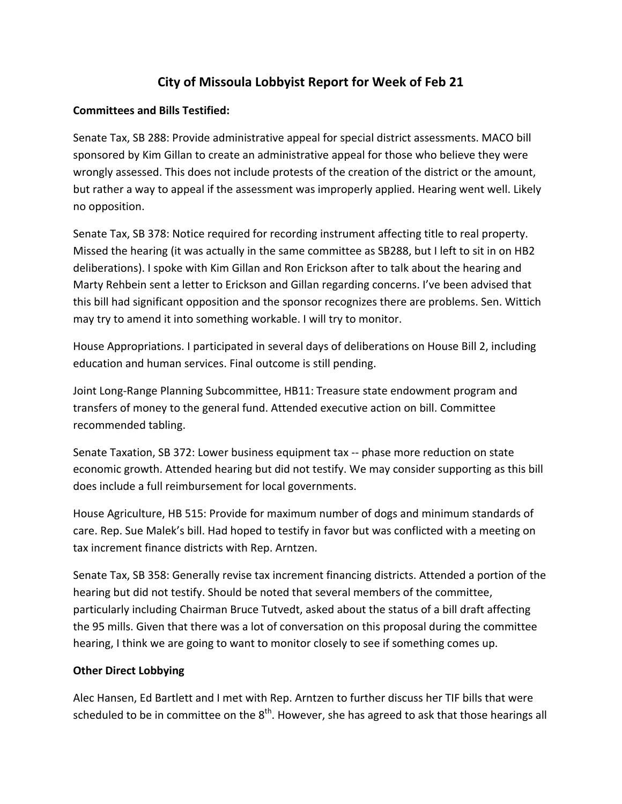## **City of Missoula Lobbyist Report for Week of Feb 21**

## **Committees and Bills Testified:**

Senate Tax, SB 288: Provide administrative appeal for special district assessments. MACO bill sponsored by Kim Gillan to create an administrative appeal for those who believe they were wrongly assessed. This does not include protests of the creation of the district or the amount, but rather a way to appeal if the assessment was improperly applied. Hearing went well. Likely no opposition.

Senate Tax, SB 378: Notice required for recording instrument affecting title to real property. Missed the hearing (it was actually in the same committee as SB288, but I left to sit in on HB2 deliberations). I spoke with Kim Gillan and Ron Erickson after to talk about the hearing and Marty Rehbein sent a letter to Erickson and Gillan regarding concerns. I've been advised that this bill had significant opposition and the sponsor recognizes there are problems. Sen. Wittich may try to amend it into something workable. I will try to monitor.

House Appropriations. I participated in several days of deliberations on House Bill 2, including education and human services. Final outcome is still pending.

Joint Long‐Range Planning Subcommittee, HB11: Treasure state endowment program and transfers of money to the general fund. Attended executive action on bill. Committee recommended tabling.

Senate Taxation, SB 372: Lower business equipment tax ‐‐ phase more reduction on state economic growth. Attended hearing but did not testify. We may consider supporting as this bill does include a full reimbursement for local governments.

House Agriculture, HB 515: Provide for maximum number of dogs and minimum standards of care. Rep. Sue Malek's bill. Had hoped to testify in favor but was conflicted with a meeting on tax increment finance districts with Rep. Arntzen.

Senate Tax, SB 358: Generally revise tax increment financing districts. Attended a portion of the hearing but did not testify. Should be noted that several members of the committee, particularly including Chairman Bruce Tutvedt, asked about the status of a bill draft affecting the 95 mills. Given that there was a lot of conversation on this proposal during the committee hearing, I think we are going to want to monitor closely to see if something comes up.

## **Other Direct Lobbying**

Alec Hansen, Ed Bartlett and I met with Rep. Arntzen to further discuss her TIF bills that were scheduled to be in committee on the  $8<sup>th</sup>$ . However, she has agreed to ask that those hearings all